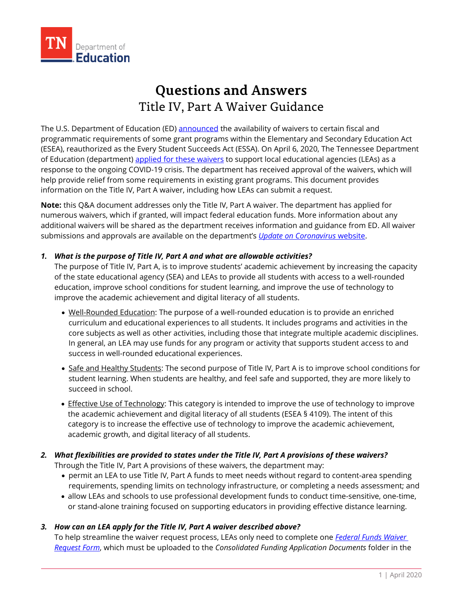

# **Questions and Answers** Title IV, Part A Waiver Guidance

The U.S. Department of Education (ED) [announced](https://www.ed.gov/news/press-releases/secretary-education-betsy-devos-authorizes-new-funding-flexibilities-support-continued-learning-during-covid-19-national-emergency) the availability of waivers to certain fiscal and programmatic requirements of some grant programs within the Elementary and Secondary Education Act (ESEA), reauthorized as the Every Student Succeeds Act (ESSA). On April 6, 2020, The Tennessee Department of Education (department) [applied for these waivers](https://www.tn.gov/content/dam/tn/education/health-&-safety/Tennessee-covid-fiscal-waiver-19-2020.pdf) to support local educational agencies (LEAs) as a response to the ongoing COVID-19 crisis. The department has received approval of the waivers, which will help provide relief from some requirements in existing grant programs. This document provides information on the Title IV, Part A waiver, including how LEAs can submit a request.

**Note:** this Q&A document addresses only the Title IV, Part A waiver. The department has applied for numerous waivers, which if granted, will impact federal education funds. More information about any additional waivers will be shared as the department receives information and guidance from ED. All waiver submissions and approvals are available on the department's *[Update on Coronavirus](https://www.tn.gov/education/health-and-safety/update-on-coronavirus.html)* website.

# *1. What is the purpose of Title IV, Part A and what are allowable activities?*

The purpose of Title IV, Part A, is to improve students' academic achievement by increasing the capacity of the state educational agency (SEA) and LEAs to provide all students with access to a well-rounded education, improve school conditions for student learning, and improve the use of technology to improve the academic achievement and digital literacy of all students.

- Well-Rounded Education: The purpose of a well-rounded education is to provide an enriched curriculum and educational experiences to all students. It includes programs and activities in the core subjects as well as other activities, including those that integrate multiple academic disciplines. In general, an LEA may use funds for any program or activity that supports student access to and success in well-rounded educational experiences.
- Safe and Healthy Students: The second purpose of Title IV, Part A is to improve school conditions for student learning. When students are healthy, and feel safe and supported, they are more likely to succeed in school.
- Effective Use of Technology: This category is intended to improve the use of technology to improve the academic achievement and digital literacy of all students (ESEA § 4109). The intent of this category is to increase the effective use of technology to improve the academic achievement, academic growth, and digital literacy of all students.

# *2. What flexibilities are provided to states under the Title IV, Part A provisions of these waivers?*

Through the Title IV, Part A provisions of these waivers, the department may:

- permit an LEA to use Title IV, Part A funds to meet needs without regard to content-area spending requirements, spending limits on technology infrastructure, or completing a needs assessment; and
- allow LEAs and schools to use professional development funds to conduct time-sensitive, one-time, or stand-alone training focused on supporting educators in providing effective distance learning.

# *3. How can an LEA apply for the Title IV, Part A waiver described above?*

To help streamline the waiver request process, LEAs only need to complete one *[Federal Funds Waiver](https://eplan.tn.gov/DocumentLibrary/ViewDocument.aspx?DocumentKey=1585876&inline=true)  [Request Form](https://eplan.tn.gov/DocumentLibrary/ViewDocument.aspx?DocumentKey=1585876&inline=true)*, which must be uploaded to the *Consolidated Funding Application Documents* folder in the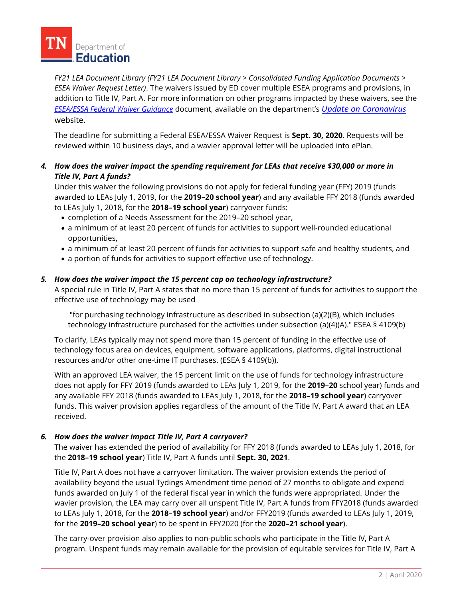

*FY21 LEA Document Library (FY21 LEA Document Library > Consolidated Funding Application Documents > ESEA Waiver Request Letter)*. The waivers issued by ED cover multiple ESEA programs and provisions, in addition to Title IV, Part A. For more information on other programs impacted by these waivers, see the *ESEA/ESSA [Federal Waiver](https://eplan.tn.gov/DocumentLibrary/ViewDocument.aspx?DocumentKey=1585877&inline=true) Guidance* document, available on the department's *[Update on Coronavirus](https://www.tn.gov/education/health-and-safety/update-on-coronavirus.html)* website.

The deadline for submitting a Federal ESEA/ESSA Waiver Request is **Sept. 30, 2020**. Requests will be reviewed within 10 business days, and a wavier approval letter will be uploaded into ePlan.

# *4. How does the waiver impact the spending requirement for LEAs that receive \$30,000 or more in Title IV, Part A funds?*

Under this waiver the following provisions do not apply for federal funding year (FFY) 2019 (funds awarded to LEAs July 1, 2019, for the **2019–20 school year**) and any available FFY 2018 (funds awarded to LEAs July 1, 2018, for the **2018–19 school year**) carryover funds:

- completion of a Needs Assessment for the 2019–20 school year,
- a minimum of at least 20 percent of funds for activities to support well-rounded educational opportunities,
- a minimum of at least 20 percent of funds for activities to support safe and healthy students, and
- a portion of funds for activities to support effective use of technology.

#### *5. How does the waiver impact the 15 percent cap on technology infrastructure?*

A special rule in Title IV, Part A states that no more than 15 percent of funds for activities to support the effective use of technology may be used

"for purchasing technology infrastructure as described in subsection (a)(2)(B), which includes technology infrastructure purchased for the activities under subsection (a)(4)(A)." ESEA § 4109(b)

To clarify, LEAs typically may not spend more than 15 percent of funding in the effective use of technology focus area on devices, equipment, software applications, platforms, digital instructional resources and/or other one-time IT purchases. (ESEA § 4109(b)).

With an approved LEA waiver, the 15 percent limit on the use of funds for technology infrastructure does not apply for FFY 2019 (funds awarded to LEAs July 1, 2019, for the **2019–20** school year) funds and any available FFY 2018 (funds awarded to LEAs July 1, 2018, for the **2018–19 school year**) carryover funds. This waiver provision applies regardless of the amount of the Title IV, Part A award that an LEA received.

#### *6. How does the waiver impact Title IV, Part A carryover?*

The waiver has extended the period of availability for FFY 2018 (funds awarded to LEAs July 1, 2018, for the **2018–19 school year**) Title IV, Part A funds until **Sept. 30, 2021**.

Title IV, Part A does not have a carryover limitation. The waiver provision extends the period of availability beyond the usual Tydings Amendment time period of 27 months to obligate and expend funds awarded on July 1 of the federal fiscal year in which the funds were appropriated. Under the wavier provision, the LEA may carry over all unspent Title IV, Part A funds from FFY2018 (funds awarded to LEAs July 1, 2018, for the **2018–19 school year**) and/or FFY2019 (funds awarded to LEAs July 1, 2019, for the **2019–20 school year**) to be spent in FFY2020 (for the **2020–21 school year**).

The carry-over provision also applies to non-public schools who participate in the Title IV, Part A program. Unspent funds may remain available for the provision of equitable services for Title IV, Part A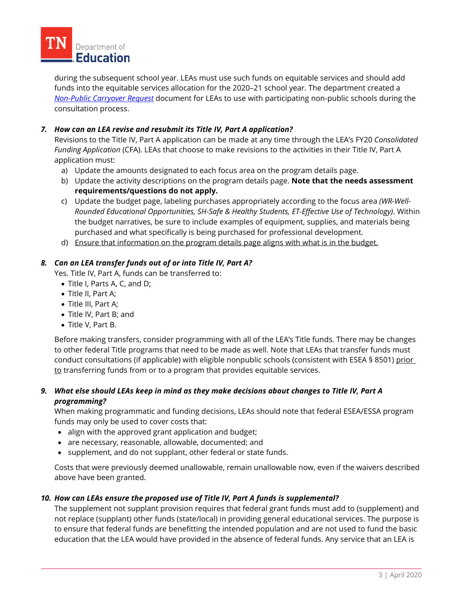

during the subsequent school year. LEAs must use such funds on equitable services and should add funds into the equitable services allocation for the 2020–21 school year. The department created a *[Non-Public Carryover Request](https://eplan.tn.gov/DocumentLibrary/ViewDocument.aspx?DocumentKey=1580708&inline=true)* document for LEAs to use with participating non-public schools during the consultation process.

# *7. How can an LEA revise and resubmit its Title IV, Part A application?*

Revisions to the Title IV, Part A application can be made at any time through the LEA's FY20 *Consolidated Funding Application* (CFA). LEAs that choose to make revisions to the activities in their Title IV, Part A application must:

- a) Update the amounts designated to each focus area on the program details page.
- b) Update the activity descriptions on the program details page. **Note that the needs assessment requirements/questions do not apply.**
- c) Update the budget page, labeling purchases appropriately according to the focus area *(WR-Well-Rounded Educational Opportunities, SH-Safe & Healthy Students, ET-Effective Use of Technology)*. Within the budget narratives, be sure to include examples of equipment, supplies, and materials being purchased and what specifically is being purchased for professional development.
- d) Ensure that information on the program details page aligns with what is in the budget.

#### *8. Can an LEA transfer funds out of or into Title IV, Part A?*

Yes. Title IV, Part A, funds can be transferred to:

- Title I, Parts A, C, and D;
- Title II, Part A;
- Title III, Part A;
- Title IV, Part B; and
- Title V, Part B.

Before making transfers, consider programming with all of the LEA's Title funds. There may be changes to other federal Title programs that need to be made as well. Note that LEAs that transfer funds must conduct consultations (if applicable) with eligible nonpublic schools (consistent with ESEA § 8501) prior to transferring funds from or to a program that provides equitable services.

# *9. What else should LEAs keep in mind as they make decisions about changes to Title IV, Part A programming?*

When making programmatic and funding decisions, LEAs should note that federal ESEA/ESSA program funds may only be used to cover costs that:

- align with the approved grant application and budget;
- are necessary, reasonable, allowable, documented; and
- supplement, and do not supplant, other federal or state funds.

Costs that were previously deemed unallowable, remain unallowable now, even if the waivers described above have been granted.

# *10. How can LEAs ensure the proposed use of Title IV, Part A funds is supplemental?*

The supplement not supplant provision requires that federal grant funds must add to (supplement) and not replace (supplant) other funds (state/local) in providing general educational services. The purpose is to ensure that federal funds are benefitting the intended population and are not used to fund the basic education that the LEA would have provided in the absence of federal funds. Any service that an LEA is